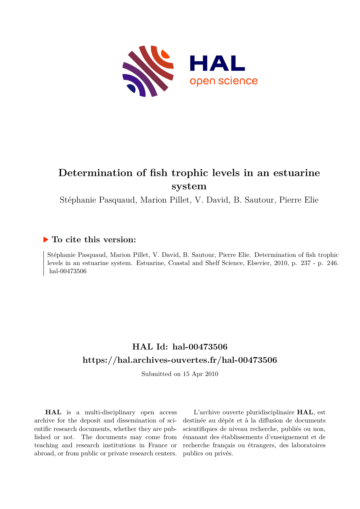

# **Determination of fish trophic levels in an estuarine system**

Stéphanie Pasquaud, Marion Pillet, V. David, B. Sautour, Pierre Elie

## **To cite this version:**

Stéphanie Pasquaud, Marion Pillet, V. David, B. Sautour, Pierre Elie. Determination of fish trophic levels in an estuarine system. Estuarine, Coastal and Shelf Science, Elsevier, 2010, p. 237 - p. 246. hal-00473506

## **HAL Id: hal-00473506 <https://hal.archives-ouvertes.fr/hal-00473506>**

Submitted on 15 Apr 2010

**HAL** is a multi-disciplinary open access archive for the deposit and dissemination of scientific research documents, whether they are published or not. The documents may come from teaching and research institutions in France or abroad, or from public or private research centers.

L'archive ouverte pluridisciplinaire **HAL**, est destinée au dépôt et à la diffusion de documents scientifiques de niveau recherche, publiés ou non, émanant des établissements d'enseignement et de recherche français ou étrangers, des laboratoires publics ou privés.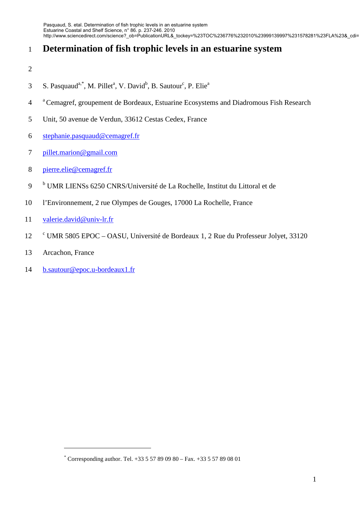## 1 **Determination of fish trophic levels in an estuarine system**

- 2
- S. Pasquaud<sup>a,\*</sup>, M. Pillet<sup>a</sup>, V. David<sup>b</sup>, B. Sautour<sup>c</sup>, P. Elie<sup>a</sup> 3
- <sup>a</sup>4 Cemagref, groupement de Bordeaux, Estuarine Ecosystems and Diadromous Fish Research
- 5 Unit, 50 avenue de Verdun, 33612 Cestas Cedex, France
- 6 stephanie.pasquaud@cemagref.fr
- 7 pillet.marion@gmail.com
- 8 pierre.elie@cemagref.fr
- <sup>b</sup> UMR LIENSs 6250 CNRS/Université de La Rochelle, Institut du Littoral et de
- 10 l'Environnement, 2 rue Olympes de Gouges, 17000 La Rochelle, France
- 11 valerie.david@univ-lr.fr
- <sup>c</sup> UMR 5805 EPOC OASU, Université de Bordeaux 1, 2 Rue du Professeur Jolyet, 33120
- 13 Arcachon, France

 $\overline{a}$ 

14 b.sautour@epoc.u-bordeaux1.fr

<sup>\*</sup> Corresponding author. Tel. +33 5 57 89 09 80 – Fax. +33 5 57 89 08 01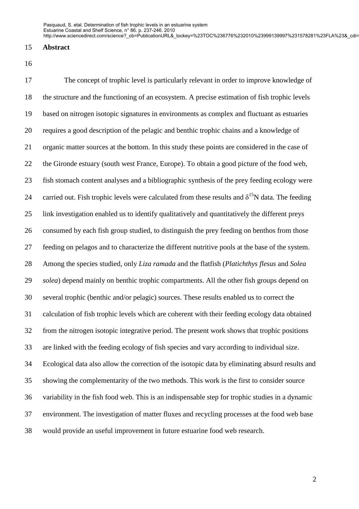#### 15 **Abstract**

16

17 The concept of trophic level is particularly relevant in order to improve knowledge of 18 the structure and the functioning of an ecosystem. A precise estimation of fish trophic levels 19 based on nitrogen isotopic signatures in environments as complex and fluctuant as estuaries 20 requires a good description of the pelagic and benthic trophic chains and a knowledge of 21 organic matter sources at the bottom. In this study these points are considered in the case of 22 the Gironde estuary (south west France, Europe). To obtain a good picture of the food web, 23 fish stomach content analyses and a bibliographic synthesis of the prey feeding ecology were 24 carried out. Fish trophic levels were calculated from these results and  $\delta^{15}N$  data. The feeding 25 link investigation enabled us to identify qualitatively and quantitatively the different preys 26 consumed by each fish group studied, to distinguish the prey feeding on benthos from those 27 feeding on pelagos and to characterize the different nutritive pools at the base of the system. 28 Among the species studied, only *Liza ramada* and the flatfish (*Platichthys flesus* and *Solea*  29 *solea*) depend mainly on benthic trophic compartments. All the other fish groups depend on 30 several trophic (benthic and/or pelagic) sources. These results enabled us to correct the 31 calculation of fish trophic levels which are coherent with their feeding ecology data obtained 32 from the nitrogen isotopic integrative period. The present work shows that trophic positions 33 are linked with the feeding ecology of fish species and vary according to individual size. 34 Ecological data also allow the correction of the isotopic data by eliminating absurd results and 35 showing the complementarity of the two methods. This work is the first to consider source 36 variability in the fish food web. This is an indispensable step for trophic studies in a dynamic 37 environment. The investigation of matter fluxes and recycling processes at the food web base 38 would provide an useful improvement in future estuarine food web research.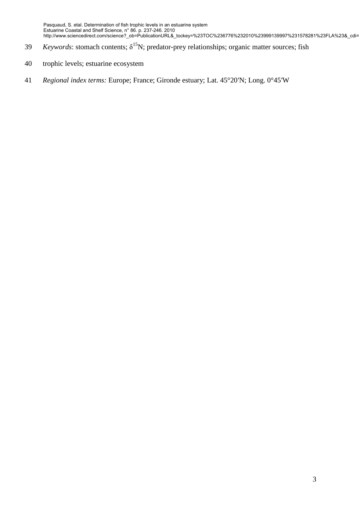- *Keywords*: stomach contents; δ<sup>15</sup>N; predator-prey relationships; organic matter sources; fish
- 40 trophic levels; estuarine ecosystem
- 41 *Regional index terms:* Europe; France; Gironde estuary; Lat. 45°20′N; Long. 0°45′W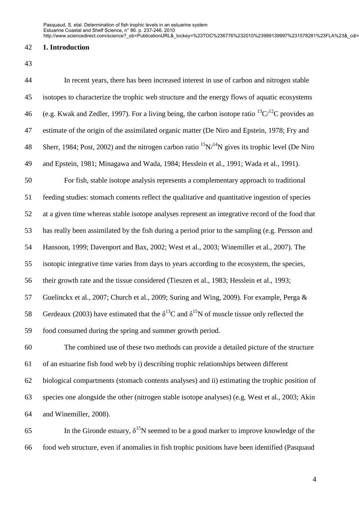## 42 **1. Introduction**

43

| 44 | In recent years, there has been increased interest in use of carbon and nitrogen stable                         |
|----|-----------------------------------------------------------------------------------------------------------------|
| 45 | isotopes to characterize the trophic web structure and the energy flows of aquatic ecosystems                   |
| 46 | (e.g. Kwak and Zedler, 1997). For a living being, the carbon isotope ratio ${}^{13}C/{}^{12}C$ provides an      |
| 47 | estimate of the origin of the assimilated organic matter (De Niro and Epstein, 1978; Fry and                    |
| 48 | Sherr, 1984; Post, 2002) and the nitrogen carbon ratio ${}^{15}N/{}^{14}N$ gives its trophic level (De Niro     |
| 49 | and Epstein, 1981; Minagawa and Wada, 1984; Hesslein et al., 1991; Wada et al., 1991).                          |
| 50 | For fish, stable isotope analysis represents a complementary approach to traditional                            |
| 51 | feeding studies: stomach contents reflect the qualitative and quantitative ingestion of species                 |
| 52 | at a given time whereas stable isotope analyses represent an integrative record of the food that                |
| 53 | has really been assimilated by the fish during a period prior to the sampling (e.g. Persson and                 |
| 54 | Hansoon, 1999; Davenport and Bax, 2002; West et al., 2003; Winemiller et al., 2007). The                        |
| 55 | isotopic integrative time varies from days to years according to the ecosystem, the species,                    |
| 56 | their growth rate and the tissue considered (Tieszen et al., 1983; Hesslein et al., 1993;                       |
| 57 | Guelinckx et al., 2007; Church et al., 2009; Suring and Wing, 2009). For example, Perga &                       |
| 58 | Gerdeaux (2003) have estimated that the $\delta^{13}$ C and $\delta^{15}$ N of muscle tissue only reflected the |
| 59 | food consumed during the spring and summer growth period.                                                       |
| 60 | The combined use of these two methods can provide a detailed picture of the structure                           |
| 61 | of an estuarine fish food web by i) describing trophic relationships between different                          |
| 62 | biological compartments (stomach contents analyses) and ii) estimating the trophic position of                  |
| 63 | species one alongside the other (nitrogen stable isotope analyses) (e.g. West et al., 2003; Akin                |
| 64 | and Winemiller, 2008).                                                                                          |
| 65 | In the Gironde estuary, $\delta^{15}N$ seemed to be a good marker to improve knowledge of the                   |

66 food web structure, even if anomalies in fish trophic positions have been identified (Pasquaud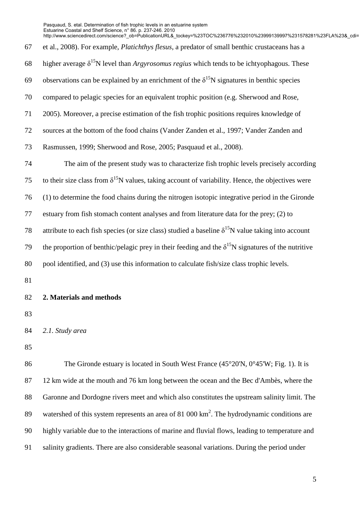67 et al., 2008). For example, *Platichthys flesus*, a predator of small benthic crustaceans has a 68 higher average  $\delta^{15}N$  level than *Argyrosomus regius* which tends to be ichtyophagous. These 69 observations can be explained by an enrichment of the  $\delta^{15}N$  signatures in benthic species 70 compared to pelagic species for an equivalent trophic position (e.g. Sherwood and Rose, 71 2005). Moreover, a precise estimation of the fish trophic positions requires knowledge of 72 sources at the bottom of the food chains (Vander Zanden et al., 1997; Vander Zanden and 73 Rasmussen, 1999; Sherwood and Rose, 2005; Pasquaud et al., 2008). 74 The aim of the present study was to characterize fish trophic levels precisely according 75 to their size class from  $\delta^{15}N$  values, taking account of variability. Hence, the objectives were 76 (1) to determine the food chains during the nitrogen isotopic integrative period in the Gironde 77 estuary from fish stomach content analyses and from literature data for the prey; (2) to 78 attribute to each fish species (or size class) studied a baseline  $\delta^{15}N$  value taking into account 79 the proportion of benthic/pelagic prey in their feeding and the  $\delta^{15}N$  signatures of the nutritive 80 pool identified, and (3) use this information to calculate fish/size class trophic levels. 81 82 **2. Materials and methods**  83 Estuarine Coastal and Shelf Science, n° 86. p. 237-246. 2010 http://www.sciencedirect.com/science?\_ob=PublicationURL&\_tockey=%23TOC%236776%232010%23999139997%231578281%23FLA%23&\_cdi=

84 *2.1. Study area* 

85

86 The Gironde estuary is located in South West France (45°20'N, 0°45'W; Fig. 1). It is 87 12 km wide at the mouth and 76 km long between the ocean and the Bec d'Ambès, where the 88 Garonne and Dordogne rivers meet and which also constitutes the upstream salinity limit. The 89 watershed of this system represents an area of 81 000  $\text{km}^2$ . The hydrodynamic conditions are 90 highly variable due to the interactions of marine and fluvial flows, leading to temperature and 91 salinity gradients. There are also considerable seasonal variations. During the period under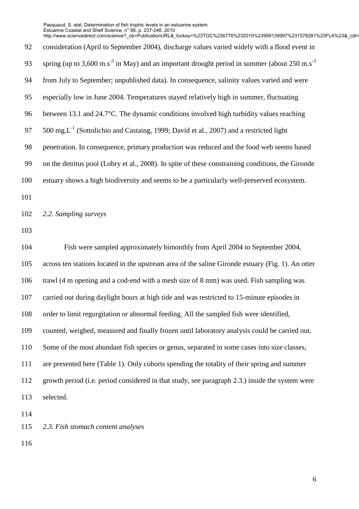|     | http://www.sciencedirect.com/science?_ob=PublicationURL&_tockey=%23TOC%236776%232010%23999139997%231578281%23FLA%23&cdi= |
|-----|--------------------------------------------------------------------------------------------------------------------------|
| 92  | consideration (April to September 2004), discharge values varied widely with a flood event in                            |
| 93  | spring (up to 3,600 m.s <sup>-3</sup> in May) and an important drought period in summer (about $250$ m.s <sup>-3</sup>   |
| 94  | from July to September; unpublished data). In consequence, salinity values varied and were                               |
| 95  | especially low in June 2004. Temperatures stayed relatively high in summer, fluctuating                                  |
| 96  | between 13.1 and 24.7°C. The dynamic conditions involved high turbidity values reaching                                  |
| 97  | 500 mg. $L^{-1}$ (Sottolichio and Castaing, 1999; David et al., 2007) and a restricted light                             |
| 98  | penetration. In consequence, primary production was reduced and the food web seems based                                 |
| 99  | on the detritus pool (Lobry et al., 2008). In spite of these constraining conditions, the Gironde                        |
| 100 | estuary shows a high biodiversity and seems to be a particularly well-preserved ecosystem.                               |
| 101 |                                                                                                                          |
| 102 | 2.2. Sampling surveys                                                                                                    |
| 103 |                                                                                                                          |
| 104 | Fish were sampled approximately bimonthly from April 2004 to September 2004,                                             |
| 105 | across ten stations located in the upstream area of the saline Gironde estuary (Fig. 1). An otter                        |
| 106 | trawl (4 m opening and a cod-end with a mesh size of 8 mm) was used. Fish sampling was                                   |
| 107 | carried out during daylight hours at high tide and was restricted to 15-minute episodes in                               |
| 108 | order to limit regurgitation or abnormal feeding. All the sampled fish were identified,                                  |
| 109 | counted, weighed, measured and finally frozen until laboratory analysis could be carried out.                            |
| 110 | Some of the most abundant fish species or genus, separated in some cases into size classes,                              |
| 111 | are presented here (Table 1). Only cohorts spending the totality of their spring and summer                              |
| 112 | growth period (i.e. period considered in that study, see paragraph 2.3.) inside the system were                          |
| 113 | selected.                                                                                                                |
| 114 |                                                                                                                          |
| 115 | 2.3. Fish stomach content analyses                                                                                       |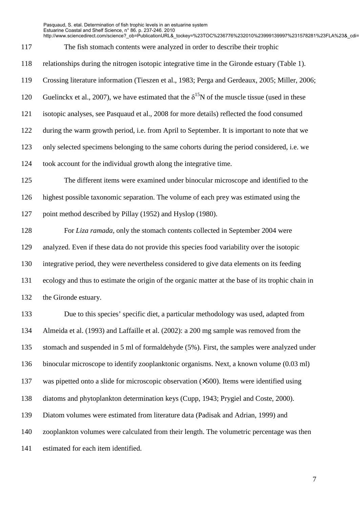http://www.sciencedirect.com/science?\_ob=PublicationURL&\_tockey=%23TOC%236776%232010%23999139997%231578281%23FLA%23&\_cdi=

- 117 The fish stomach contents were analyzed in order to describe their trophic
- 118 relationships during the nitrogen isotopic integrative time in the Gironde estuary (Table 1).
- 119 Crossing literature information (Tieszen et al., 1983; Perga and Gerdeaux, 2005; Miller, 2006;
- 120 Guelinckx et al., 2007), we have estimated that the  $\delta^{15}N$  of the muscle tissue (used in these
- 121 isotopic analyses, see Pasquaud et al., 2008 for more details) reflected the food consumed
- 122 during the warm growth period, i.e. from April to September. It is important to note that we
- 123 only selected specimens belonging to the same cohorts during the period considered, i.e. we
- 124 took account for the individual growth along the integrative time.
- 125 The different items were examined under binocular microscope and identified to the 126 highest possible taxonomic separation. The volume of each prey was estimated using the 127 point method described by Pillay (1952) and Hyslop (1980).
- 128 For *Liza ramada*, only the stomach contents collected in September 2004 were 129 analyzed. Even if these data do not provide this species food variability over the isotopic 130 integrative period, they were nevertheless considered to give data elements on its feeding 131 ecology and thus to estimate the origin of the organic matter at the base of its trophic chain in 132 the Gironde estuary.
- 133 Due to this species' specific diet, a particular methodology was used, adapted from 134 Almeida et al. (1993) and Laffaille et al. (2002): a 200 mg sample was removed from the 135 stomach and suspended in 5 ml of formaldehyde (5%). First, the samples were analyzed under 136 binocular microscope to identify zooplanktonic organisms. Next, a known volume (0.03 ml) 137 was pipetted onto a slide for microscopic observation (×500). Items were identified using 138 diatoms and phytoplankton determination keys (Cupp, 1943; Prygiel and Coste, 2000). 139 Diatom volumes were estimated from literature data (Padisak and Adrian, 1999) and 140 zooplankton volumes were calculated from their length. The volumetric percentage was then 141 estimated for each item identified.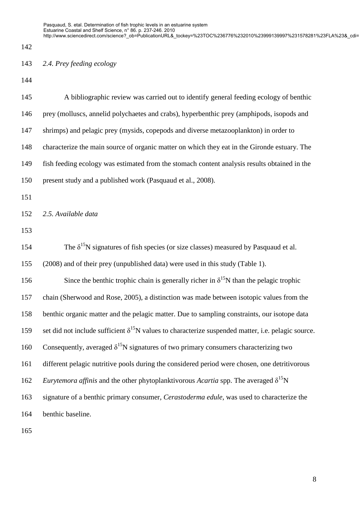142

## 143 *2.4. Prey feeding ecology*

144

| 145 | A bibliographic review was carried out to identify general feeding ecology of benthic                       |
|-----|-------------------------------------------------------------------------------------------------------------|
| 146 | prey (molluscs, annelid polychaetes and crabs), hyperbenthic prey (amphipods, isopods and                   |
| 147 | shrimps) and pelagic prey (mysids, copepods and diverse metazooplankton) in order to                        |
| 148 | characterize the main source of organic matter on which they eat in the Gironde estuary. The                |
| 149 | fish feeding ecology was estimated from the stomach content analysis results obtained in the                |
| 150 | present study and a published work (Pasquaud et al., 2008).                                                 |
| 151 |                                                                                                             |
| 152 | 2.5. Available data                                                                                         |
| 153 |                                                                                                             |
| 154 | The $\delta^{15}$ N signatures of fish species (or size classes) measured by Pasquaud et al.                |
| 155 | (2008) and of their prey (unpublished data) were used in this study (Table 1).                              |
| 156 | Since the benthic trophic chain is generally richer in $\delta^{15}N$ than the pelagic trophic              |
| 157 | chain (Sherwood and Rose, 2005), a distinction was made between isotopic values from the                    |
| 158 | benthic organic matter and the pelagic matter. Due to sampling constraints, our isotope data                |
| 159 | set did not include sufficient $\delta^{15}N$ values to characterize suspended matter, i.e. pelagic source. |
| 160 | Consequently, averaged $\delta^{15}N$ signatures of two primary consumers characterizing two                |
| 161 | different pelagic nutritive pools during the considered period were chosen, one detritivorous               |
| 162 | <i>Eurytemora affinis</i> and the other phytoplanktivorous <i>Acartia</i> spp. The averaged $\delta^{15}N$  |
| 163 | signature of a benthic primary consumer, <i>Cerastoderma edule</i> , was used to characterize the           |
| 164 | benthic baseline.                                                                                           |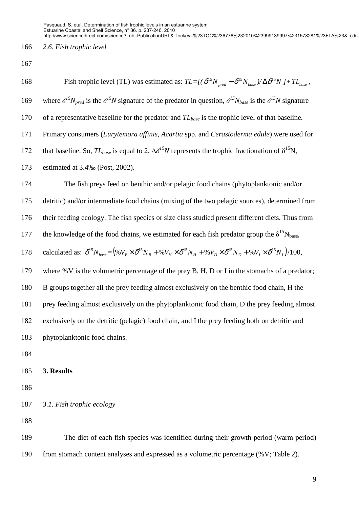#### 166 *2.6. Fish trophic level*

167

168 Fish trophic level (TL) was estimated as:  $TL=[(\delta^{15}N_{pred} - \delta^{15}N_{base})/\Delta \delta^{15}N + TL_{base}$ , 169 where  $\delta^{15}N_{pred}$  is the  $\delta^{15}N$  signature of the predator in question,  $\delta^{15}N_{base}$  is the  $\delta^{15}N$  signature

170 of a representative baseline for the predator and *TLbase* is the trophic level of that baseline.

171 Primary consumers (*Eurytemora affinis*, *Acartia* spp. and *Cerastoderma edule*) were used for

172 that baseline. So,  $TL_{base}$  is equal to 2.  $\Delta \delta^{15}N$  represents the trophic fractionation of  $\delta^{15}N$ ,

173 estimated at 3.4‰ (Post, 2002).

174 The fish preys feed on benthic and/or pelagic food chains (phytoplanktonic and/or 175 detritic) and/or intermediate food chains (mixing of the two pelagic sources), determined from

176 their feeding ecology. The fish species or size class studied present different diets. Thus from

177 the knowledge of the food chains, we estimated for each fish predator group the  $\delta^{15}N_{base}$ ,

178 calculated as: 
$$
\delta^{15} N_{base} = (96V_B \times \delta^{15} N_B + 96V_H \times \delta^{15} N_H + 96V_D \times \delta^{15} N_B + 96V_I \times \delta^{15} N_I)
$$
/100,

179 where %V is the volumetric percentage of the prey B, H, D or I in the stomachs of a predator;

180 B groups together all the prey feeding almost exclusively on the benthic food chain, H the

181 prey feeding almost exclusively on the phytoplanktonic food chain, D the prey feeding almost

182 exclusively on the detritic (pelagic) food chain, and I the prey feeding both on detritic and

183 phytoplanktonic food chains.

- 184
- 185 **3. Results**

186

187 *3.1. Fish trophic ecology* 

188

189 The diet of each fish species was identified during their growth period (warm period) 190 from stomach content analyses and expressed as a volumetric percentage (%V; Table 2).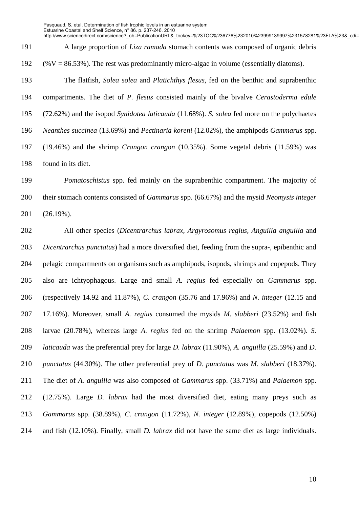http://www.sciencedirect.com/science?\_ob=PublicationURL&\_tockey=%23TOC%236776%232010%23999139997%231578281%23FLA%23&\_cdi=

191 A large proportion of *Liza ramada* stomach contents was composed of organic debris

192  $(\%V = 86.53\%)$ . The rest was predominantly micro-algae in volume (essentially diatoms).

193 The flatfish*, Solea solea* and *Platichthys flesus,* fed on the benthic and suprabenthic 194 compartments. The diet of *P. flesus* consisted mainly of the bivalve *Cerastoderma edule* 195 (72.62%) and the isopod *Synidotea laticauda* (11.68%). *S. solea* fed more on the polychaetes 196 *Neanthes succinea* (13.69%) and *Pectinaria koreni* (12.02%), the amphipods *Gammarus* spp. 197 (19.46%) and the shrimp *Crangon crangon* (10.35%). Some vegetal debris (11.59%) was 198 found in its diet.

199 *Pomatoschistus* spp. fed mainly on the suprabenthic compartment. The majority of 200 their stomach contents consisted of *Gammarus* spp. (66.67%) and the mysid *Neomysis integer* 201 (26.19%).

202 All other species (*Dicentrarchus labrax, Argyrosomus regius, Anguilla anguilla* and 203 *Dicentrarchus punctatus*) had a more diversified diet, feeding from the supra-, epibenthic and 204 pelagic compartments on organisms such as amphipods, isopods, shrimps and copepods. They 205 also are ichtyophagous. Large and small *A. regius* fed especially on *Gammarus* spp. 206 (respectively 14.92 and 11.87%), *C. crangon* (35.76 and 17.96%) and *N. integer* (12.15 and 207 17.16%). Moreover, small *A. regius* consumed the mysids *M. slabberi* (23.52%) and fish 208 larvae (20.78%), whereas large *A. regius* fed on the shrimp *Palaemon* spp. (13.02%). *S.*  209 *laticauda* was the preferential prey for large *D. labrax* (11.90%), *A. anguilla* (25.59%) and *D.*  210 *punctatus* (44.30%). The other preferential prey of *D. punctatus* was *M. slabberi* (18.37%). 211 The diet of *A. anguilla* was also composed of *Gammarus* spp. (33.71%) and *Palaemon* spp. 212 (12.75%). Large *D. labrax* had the most diversified diet, eating many preys such as 213 *Gammarus* spp. (38.89%), *C. crangon* (11.72%), *N. integer* (12.89%), copepods (12.50%) 214 and fish (12.10%). Finally, small *D. labrax* did not have the same diet as large individuals.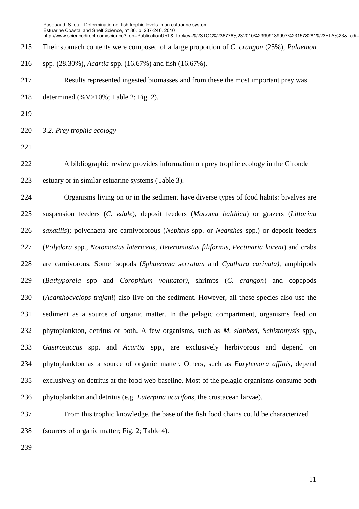215 Their stomach contents were composed of a large proportion of *C. crangon* (25%), *Palaemon* 

216 spp. (28.30%), *Acartia* spp. (16.67%) and fish (16.67%).

217 Results represented ingested biomasses and from these the most important prey was

- 218 determined (%V>10%; Table 2; Fig. 2).
- 219

220 *3.2. Prey trophic ecology* 

221

222 A bibliographic review provides information on prey trophic ecology in the Gironde 223 estuary or in similar estuarine systems (Table 3).

224 Organisms living on or in the sediment have diverse types of food habits: bivalves are 225 suspension feeders (*C. edule*), deposit feeders (*Macoma balthica*) or grazers (*Littorina*  226 *saxatilis*); polychaeta are carnivororous (*Nephtys* spp. or *Neanthes* spp.) or deposit feeders 227 (*Polydora* spp., *Notomastus latericeus, Heteromastus filiformis, Pectinaria koreni*) and crabs 228 are carnivorous. Some isopods (*Sphaeroma serratum* and *Cyathura carinata)*, amphipods 229 (*Bathyporeia* spp and *Corophium volutator)*, shrimps (*C. crangon*) and copepods 230 (*Acanthocyclops trajani*) also live on the sediment. However, all these species also use the 231 sediment as a source of organic matter. In the pelagic compartment, organisms feed on 232 phytoplankton, detritus or both. A few organisms, such as *M. slabberi, Schistomysis* spp.*,*  233 *Gastrosaccus* spp. and *Acartia* spp., are exclusively herbivorous and depend on 234 phytoplankton as a source of organic matter. Others, such as *Eurytemora affinis*, depend 235 exclusively on detritus at the food web baseline. Most of the pelagic organisms consume both 236 phytoplankton and detritus (e.g. *Euterpina acutifons*, the crustacean larvae).

237 From this trophic knowledge, the base of the fish food chains could be characterized 238 (sources of organic matter; Fig. 2; Table 4).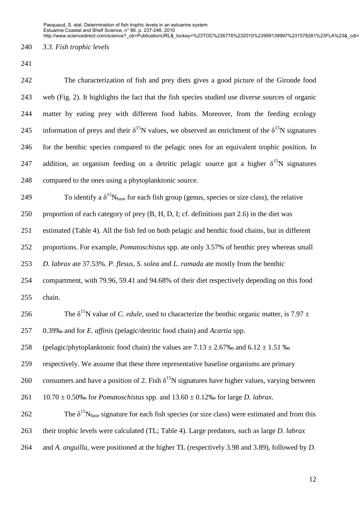http://www.sciencedirect.com/science? ob=PublicationURL& tockey=%23TOC%236776%232010%23999139997%231578281%23FLA%23& cdi=

240 *3.3. Fish trophic levels* 

241

242 The characterization of fish and prey diets gives a good picture of the Gironde food 243 web (Fig. 2). It highlights the fact that the fish species studied use diverse sources of organic 244 matter by eating prey with different food habits. Moreover, from the feeding ecology 245 information of preys and their  $\delta^{15}N$  values, we observed an enrichment of the  $\delta^{15}N$  signatures 246 for the benthic species compared to the pelagic ones for an equivalent trophic position. In 247 addition, an organism feeding on a detritic pelagic source got a higher  $\delta^{15}N$  signatures 248 compared to the ones using a phytoplanktonic source. 249 To identify a  $\delta^{15}N_{base}$  for each fish group (genus, species or size class), the relative 250 proportion of each category of prey (B, H, D, I; cf. definitions part 2.6) in the diet was 251 estimated (Table 4). All the fish fed on both pelagic and benthic food chains, but in different 252 proportions. For example, *Pomatoschistus* spp. ate only 3.57% of benthic prey whereas small 253 *D. labrax* ate 37.53%. *P. flesus*, *S. solea* and *L. ramada* ate mostly from the benthic 254 compartment, with 79.96, 59.41 and 94.68% of their diet respectively depending on this food 255 chain. 256 The  $\delta^{15}N$  value of *C. edule*, used to characterize the benthic organic matter, is 7.97  $\pm$ 257 0.39‰ and for *E. affinis* (pelagic/detritic food chain) and *Acartia* spp. 258 (pelagic/phytoplanktonic food chain) the values are  $7.13 \pm 2.67\%$  and  $6.12 \pm 1.51\%$ 259 respectively. We assume that these three representative baseline organisms are primary 260 consumers and have a position of 2. Fish  $\delta^{15}N$  signatures have higher values, varying between 261 10.70 ± 0.50‰ for *Pomatoschistus* spp. and 13.60 ± 0.12‰ for large *D. labrax*. 262 The  $\delta^{15}N_{base}$  signature for each fish species (or size class) were estimated and from this 263 their trophic levels were calculated (TL; Table 4). Large predators, such as large *D. labrax* 264 and *A. anguilla*, were positioned at the higher TL (respectively 3.98 and 3.89), followed by *D.*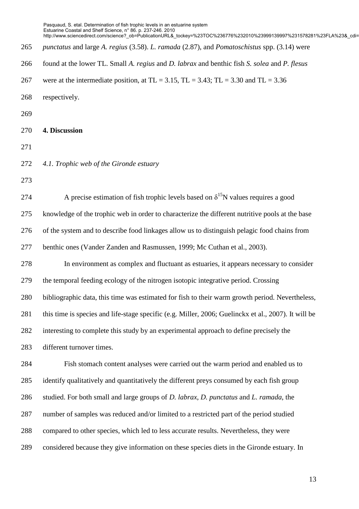265 *punctatus* and large *A. regius* (3.58). *L. ramada* (2.87), and *Pomatoschistus* spp. (3.14) were 266 found at the lower TL. Small *A. regius* and *D. labrax* and benthic fish *S. solea* and *P. flesus* 267 were at the intermediate position, at TL = 3.15, TL = 3.43; TL = 3.30 and TL = 3.36 268 respectively. 269 270 **4. Discussion**  271 272 *4.1. Trophic web of the Gironde estuary*  273 274 A precise estimation of fish trophic levels based on  $\delta^{15}N$  values requires a good 275 knowledge of the trophic web in order to characterize the different nutritive pools at the base 276 of the system and to describe food linkages allow us to distinguish pelagic food chains from 277 benthic ones (Vander Zanden and Rasmussen, 1999; Mc Cuthan et al., 2003). 278 In environment as complex and fluctuant as estuaries, it appears necessary to consider 279 the temporal feeding ecology of the nitrogen isotopic integrative period. Crossing 280 bibliographic data, this time was estimated for fish to their warm growth period. Nevertheless, 281 this time is species and life-stage specific (e.g. Miller, 2006; Guelinckx et al., 2007). It will be 282 interesting to complete this study by an experimental approach to define precisely the 283 different turnover times. Pasquaud, S. etal. Determination of fish trophic levels in an estuarine system Estuarine Coastal and Shelf Science, n° 86. p. 237-246. 2010 http://www.sciencedirect.com/science?\_ob=PublicationURL&\_tockey=%23TOC%236776%232010%23999139997%231578281%23FLA%23&\_cdi=

284 Fish stomach content analyses were carried out the warm period and enabled us to 285 identify qualitatively and quantitatively the different preys consumed by each fish group 286 studied. For both small and large groups of *D. labrax*, *D. punctatus* and *L. ramada*, the 287 number of samples was reduced and/or limited to a restricted part of the period studied 288 compared to other species, which led to less accurate results. Nevertheless, they were 289 considered because they give information on these species diets in the Gironde estuary. In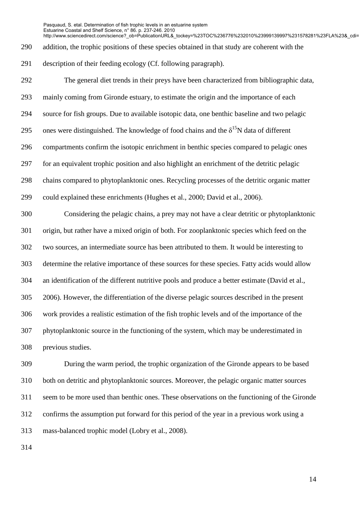http://www.sciencedirect.com/science?\_ob=PublicationURL&\_tockey=%23TOC%236776%232010%23999139997%231578281%23FLA%23&\_cdi=

290 addition, the trophic positions of these species obtained in that study are coherent with the

291 description of their feeding ecology (Cf. following paragraph).

292 The general diet trends in their preys have been characterized from bibliographic data, 293 mainly coming from Gironde estuary, to estimate the origin and the importance of each 294 source for fish groups. Due to available isotopic data, one benthic baseline and two pelagic 295 ones were distinguished. The knowledge of food chains and the  $\delta^{15}N$  data of different 296 compartments confirm the isotopic enrichment in benthic species compared to pelagic ones 297 for an equivalent trophic position and also highlight an enrichment of the detritic pelagic 298 chains compared to phytoplanktonic ones. Recycling processes of the detritic organic matter 299 could explained these enrichments (Hughes et al., 2000; David et al., 2006). 300 Considering the pelagic chains, a prey may not have a clear detritic or phytoplanktonic 301 origin, but rather have a mixed origin of both. For zooplanktonic species which feed on the 302 two sources, an intermediate source has been attributed to them. It would be interesting to 303 determine the relative importance of these sources for these species. Fatty acids would allow 304 an identification of the different nutritive pools and produce a better estimate (David et al., 305 2006). However, the differentiation of the diverse pelagic sources described in the present 306 work provides a realistic estimation of the fish trophic levels and of the importance of the 307 phytoplanktonic source in the functioning of the system, which may be underestimated in 308 previous studies.

309 During the warm period, the trophic organization of the Gironde appears to be based 310 both on detritic and phytoplanktonic sources. Moreover, the pelagic organic matter sources 311 seem to be more used than benthic ones. These observations on the functioning of the Gironde 312 confirms the assumption put forward for this period of the year in a previous work using a 313 mass-balanced trophic model (Lobry et al., 2008).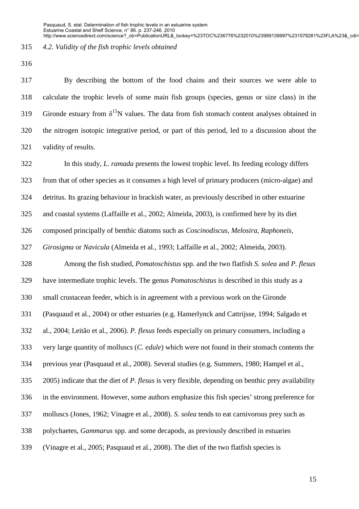#### 315 *4.2. Validity of the fish trophic levels obtained*

316

317 By describing the bottom of the food chains and their sources we were able to 318 calculate the trophic levels of some main fish groups (species, genus or size class) in the 319 Gironde estuary from  $\delta^{15}N$  values. The data from fish stomach content analyses obtained in 320 the nitrogen isotopic integrative period, or part of this period, led to a discussion about the 321 validity of results.

322 In this study, *L. ramada* presents the lowest trophic level. Its feeding ecology differs 323 from that of other species as it consumes a high level of primary producers (micro-algae) and 324 detritus. Its grazing behaviour in brackish water, as previously described in other estuarine 325 and coastal systems (Laffaille et al., 2002; Almeida, 2003), is confirmed here by its diet 326 composed principally of benthic diatoms such as *Coscinodiscus, Melosira, Raphoneis,* 

327 *Girosigma* or *Navicula* (Almeida et al., 1993; Laffaille et al., 2002; Almeida, 2003).

328 Among the fish studied, *Pomatoschistus* spp. and the two flatfish *S. solea* and *P. flesus* 329 have intermediate trophic levels. The genus *Pomatoschistus* is described in this study as a 330 small crustacean feeder, which is in agreement with a previous work on the Gironde 331 (Pasquaud et al., 2004) or other estuaries (e.g. Hamerlynck and Cattrijsse, 1994; Salgado et 332 al., 2004; Leitão et al., 2006). *P. flesus* feeds especially on primary consumers, including a 333 very large quantity of molluscs (*C. edule*) which were not found in their stomach contents the 334 previous year (Pasquaud et al., 2008). Several studies (e.g. Summers, 1980; Hampel et al., 335 2005) indicate that the diet of *P. flesus* is very flexible, depending on benthic prey availability 336 in the environment. However, some authors emphasize this fish species' strong preference for 337 molluscs (Jones, 1962; Vinagre et al., 2008). *S. solea* tends to eat carnivorous prey such as 338 polychaetes, *Gammarus* spp. and some decapods, as previously described in estuaries 339 (Vinagre et al., 2005; Pasquaud et al., 2008). The diet of the two flatfish species is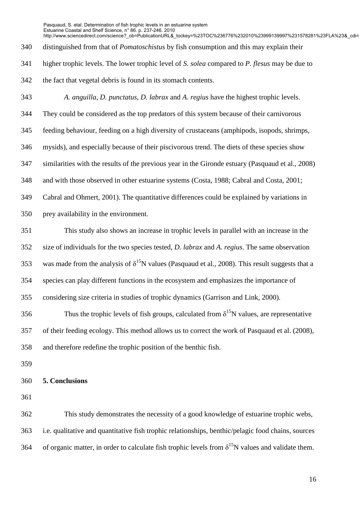340 distinguished from that of *Pomatoschistus* by fish consumption and this may explain their http://www.sciencedirect.com/science?\_ob=PublicationURL&\_tockey=%23TOC%236776%232010%23999139997%231578281%23FLA%23&\_cdi=

341 higher trophic levels. The lower trophic level of *S. solea* compared to *P. flesus* may be due to

342 the fact that vegetal debris is found in its stomach contents.

343 *A. anguilla*, *D. punctatus*, *D. labrax* and *A. regius* have the highest trophic levels. 344 They could be considered as the top predators of this system because of their carnivorous 345 feeding behaviour, feeding on a high diversity of crustaceans (amphipods, isopods, shrimps, 346 mysids), and especially because of their piscivorous trend. The diets of these species show 347 similarities with the results of the previous year in the Gironde estuary (Pasquaud et al., 2008) 348 and with those observed in other estuarine systems (Costa, 1988; Cabral and Costa, 2001; 349 Cabral and Ohmert, 2001). The quantitative differences could be explained by variations in 350 prey availability in the environment.

351 This study also shows an increase in trophic levels in parallel with an increase in the 352 size of individuals for the two species tested, *D. labrax* and *A. regius*. The same observation 353 was made from the analysis of  $\delta^{15}N$  values (Pasquaud et al., 2008). This result suggests that a 354 species can play different functions in the ecosystem and emphasizes the importance of 355 considering size criteria in studies of trophic dynamics (Garrison and Link, 2000).

356 Thus the trophic levels of fish groups, calculated from  $\delta^{15}N$  values, are representative 357 of their feeding ecology. This method allows us to correct the work of Pasquaud et al. (2008), 358 and therefore redefine the trophic position of the benthic fish.

359

#### 360 **5. Conclusions**

361

362 This study demonstrates the necessity of a good knowledge of estuarine trophic webs, 363 i.e. qualitative and quantitative fish trophic relationships, benthic/pelagic food chains, sources 364 of organic matter, in order to calculate fish trophic levels from  $\delta^{15}N$  values and validate them.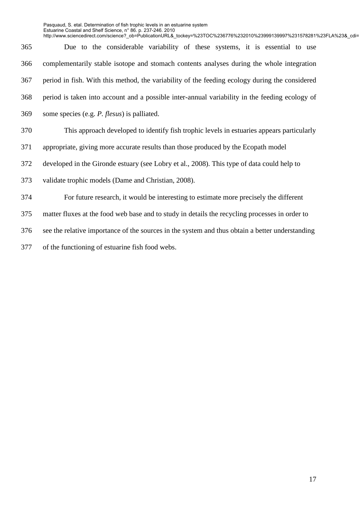http://www.sciencedirect.com/science?\_ob=PublicationURL&\_tockey=%23TOC%236776%232010%23999139997%231578281%23FLA%23&\_cdi=

365 Due to the considerable variability of these systems, it is essential to use 366 complementarily stable isotope and stomach contents analyses during the whole integration 367 period in fish. With this method, the variability of the feeding ecology during the considered 368 period is taken into account and a possible inter-annual variability in the feeding ecology of 369 some species (e.g. *P. flesus*) is palliated. 370 This approach developed to identify fish trophic levels in estuaries appears particularly 371 appropriate, giving more accurate results than those produced by the Ecopath model 372 developed in the Gironde estuary (see Lobry et al., 2008). This type of data could help to 373 validate trophic models (Dame and Christian, 2008). 374 For future research, it would be interesting to estimate more precisely the different 375 matter fluxes at the food web base and to study in details the recycling processes in order to 376 see the relative importance of the sources in the system and thus obtain a better understanding 377 of the functioning of estuarine fish food webs.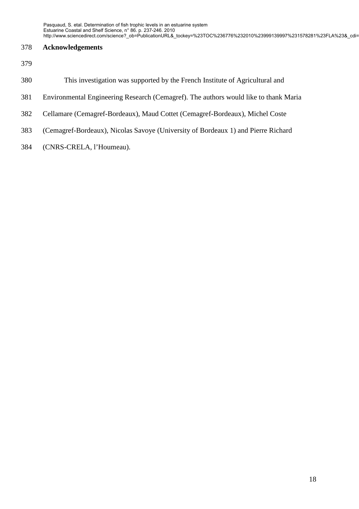### 378 **Acknowledgements**

- 379
- 380 This investigation was supported by the French Institute of Agricultural and
- 381 Environmental Engineering Research (Cemagref). The authors would like to thank Maria
- 382 Cellamare (Cemagref-Bordeaux), Maud Cottet (Cemagref-Bordeaux), Michel Coste
- 383 (Cemagref-Bordeaux), Nicolas Savoye (University of Bordeaux 1) and Pierre Richard
- 384 (CNRS-CRELA, l'Houmeau).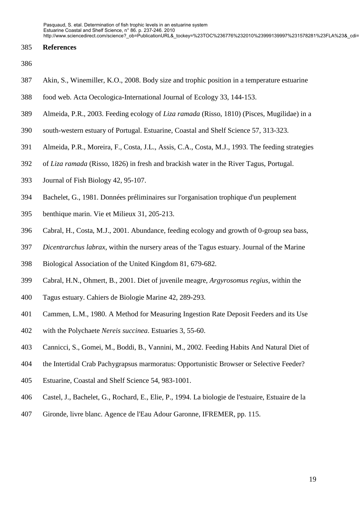#### 385 **References**

- 386
- 387 Akin, S., Winemiller, K.O., 2008. Body size and trophic position in a temperature estuarine
- 388 food web. Acta Oecologica-International Journal of Ecology 33, 144-153.
- 389 Almeida, P.R., 2003. Feeding ecology of *Liza ramada* (Risso, 1810) (Pisces, Mugilidae) in a
- 390 south-western estuary of Portugal. Estuarine, Coastal and Shelf Science 57, 313-323.
- 391 Almeida, P.R., Moreira, F., Costa, J.L., Assis, C.A., Costa, M.J., 1993. The feeding strategies
- 392 of *Liza ramada* (Risso, 1826) in fresh and brackish water in the River Tagus, Portugal.
- 393 Journal of Fish Biology 42, 95-107.
- 394 Bachelet, G., 1981. Données préliminaires sur l'organisation trophique d'un peuplement
- 395 benthique marin. Vie et Milieux 31, 205-213.
- 396 Cabral, H., Costa, M.J., 2001. Abundance, feeding ecology and growth of 0-group sea bass,
- 397 *Dicentrarchus labrax*, within the nursery areas of the Tagus estuary. Journal of the Marine
- 398 Biological Association of the United Kingdom 81, 679-682.
- 399 Cabral, H.N., Ohmert, B., 2001. Diet of juvenile meagre, *Argyrosomus regius*, within the
- 400 Tagus estuary. Cahiers de Biologie Marine 42, 289-293.
- 401 Cammen, L.M., 1980. A Method for Measuring Ingestion Rate Deposit Feeders and its Use
- 402 with the Polychaete *Nereis succinea*. Estuaries 3, 55-60.
- 403 Cannicci, S., Gomei, M., Boddi, B., Vannini, M., 2002. Feeding Habits And Natural Diet of
- 404 the Intertidal Crab Pachygrapsus marmoratus: Opportunistic Browser or Selective Feeder?
- 405 Estuarine, Coastal and Shelf Science 54, 983-1001.
- 406 Castel, J., Bachelet, G., Rochard, E., Elie, P., 1994. La biologie de l'estuaire, Estuaire de la
- 407 Gironde, livre blanc. Agence de l'Eau Adour Garonne, IFREMER, pp. 115.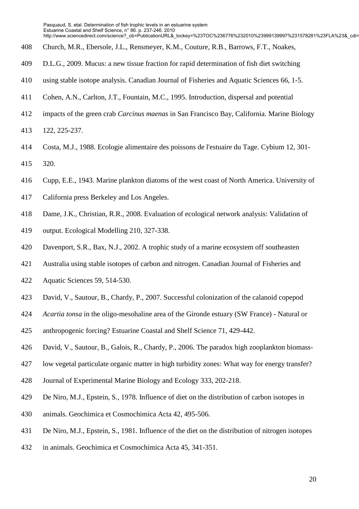- 408 Church, M.R., Ebersole, J.L., Rensmeyer, K.M., Couture, R.B., Barrows, F.T., Noakes,
- 409 D.L.G., 2009. Mucus: a new tissue fraction for rapid determination of fish diet switching
- 410 using stable isotope analysis. Canadian Journal of Fisheries and Aquatic Sciences 66, 1-5.
- 411 Cohen, A.N., Carlton, J.T., Fountain, M.C., 1995. Introduction, dispersal and potential
- 412 impacts of the green crab *Carcinus maenas* in San Francisco Bay, California. Marine Biology
- 413 122, 225-237.
- 414 Costa, M.J., 1988. Ecologie alimentaire des poissons de l'estuaire du Tage. Cybium 12, 301- 415 320.
- 416 Cupp, E.E., 1943. Marine plankton diatoms of the west coast of North America. University of
- 417 California press Berkeley and Los Angeles.
- 418 Dame, J.K., Christian, R.R., 2008. Evaluation of ecological network analysis: Validation of
- 419 output. Ecological Modelling 210, 327-338.
- 420 Davenport, S.R., Bax, N.J., 2002. A trophic study of a marine ecosystem off southeasten
- 421 Australia using stable isotopes of carbon and nitrogen. Canadian Journal of Fisheries and
- 422 Aquatic Sciences 59, 514-530.
- 423 David, V., Sautour, B., Chardy, P., 2007. Successful colonization of the calanoid copepod
- 424 *Acartia tonsa* in the oligo-mesohaline area of the Gironde estuary (SW France) Natural or
- 425 anthropogenic forcing? Estuarine Coastal and Shelf Science 71, 429-442.
- 426 David, V., Sautour, B., Galois, R., Chardy, P., 2006. The paradox high zooplankton biomass-
- 427 low vegetal particulate organic matter in high turbidity zones: What way for energy transfer?
- 428 Journal of Experimental Marine Biology and Ecology 333, 202-218.
- 429 De Niro, M.J., Epstein, S., 1978. Influence of diet on the distribution of carbon isotopes in
- 430 animals. Geochimica et Cosmochimica Acta 42, 495-506.
- 431 De Niro, M.J., Epstein, S., 1981. Influence of the diet on the distribution of nitrogen isotopes
- 432 in animals. Geochimica et Cosmochimica Acta 45, 341-351.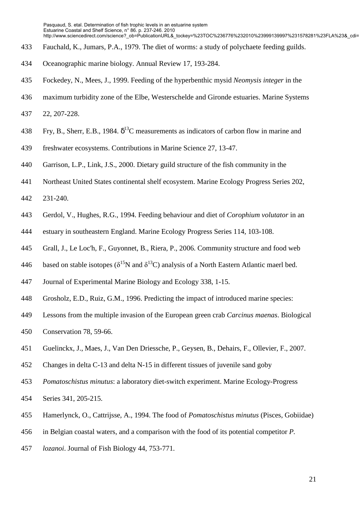- 433 Fauchald, K., Jumars, P.A., 1979. The diet of worms: a study of polychaete feeding guilds.
- 434 Oceanographic marine biology. Annual Review 17, 193-284.
- 435 Fockedey, N., Mees, J., 1999. Feeding of the hyperbenthic mysid *Neomysis integer* in the
- 436 maximum turbidity zone of the Elbe, Westerschelde and Gironde estuaries. Marine Systems
- 437 22, 207-228.
- 438 Fry, B., Sherr, E.B., 1984.  $\delta^{13}$ C measurements as indicators of carbon flow in marine and
- 439 freshwater ecosystems. Contributions in Marine Science 27, 13-47.
- 440 Garrison, L.P., Link, J.S., 2000. Dietary guild structure of the fish community in the
- 441 Northeast United States continental shelf ecosystem. Marine Ecology Progress Series 202,
- 442 231-240.
- 443 Gerdol, V., Hughes, R.G., 1994. Feeding behaviour and diet of *Corophium volutator* in an
- 444 estuary in southeastern England. Marine Ecology Progress Series 114, 103-108.
- 445 Grall, J., Le Loc'h, F., Guyonnet, B., Riera, P., 2006. Community structure and food web
- 446 based on stable isotopes ( $\delta^{15}N$  and  $\delta^{13}C$ ) analysis of a North Eastern Atlantic maerl bed.
- 447 Journal of Experimental Marine Biology and Ecology 338, 1-15.
- 448 Grosholz, E.D., Ruiz, G.M., 1996. Predicting the impact of introduced marine species:
- 449 Lessons from the multiple invasion of the European green crab *Carcinus maenas*. Biological
- 450 Conservation 78, 59-66.
- 451 Guelinckx, J., Maes, J., Van Den Driessche, P., Geysen, B., Dehairs, F., Ollevier, F., 2007.
- 452 Changes in delta C-13 and delta N-15 in different tissues of juvenile sand goby
- 453 *Pomatoschistus minutus*: a laboratory diet-switch experiment. Marine Ecology-Progress
- 454 Series 341, 205-215.
- 455 Hamerlynck, O., Cattrijsse, A., 1994. The food of *Pomatoschistus minutus* (Pisces, Gobiidae)
- 456 in Belgian coastal waters, and a comparison with the food of its potential competitor *P.*
- 457 *lozanoi*. Journal of Fish Biology 44, 753-771.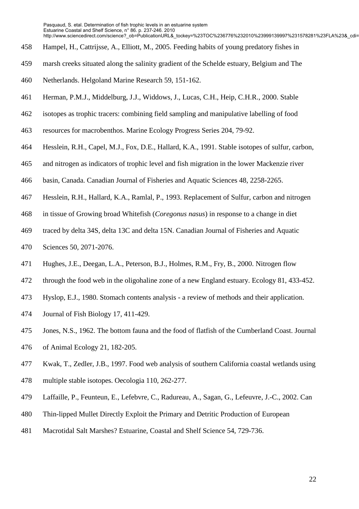- 458 Hampel, H., Cattrijsse, A., Elliott, M., 2005. Feeding habits of young predatory fishes in
- 459 marsh creeks situated along the salinity gradient of the Schelde estuary, Belgium and The
- 460 Netherlands. Helgoland Marine Research 59, 151-162.
- 461 Herman, P.M.J., Middelburg, J.J., Widdows, J., Lucas, C.H., Heip, C.H.R., 2000. Stable
- 462 isotopes as trophic tracers: combining field sampling and manipulative labelling of food
- 463 resources for macrobenthos. Marine Ecology Progress Series 204, 79-92.
- 464 Hesslein, R.H., Capel, M.J., Fox, D.E., Hallard, K.A., 1991. Stable isotopes of sulfur, carbon,
- 465 and nitrogen as indicators of trophic level and fish migration in the lower Mackenzie river
- 466 basin, Canada. Canadian Journal of Fisheries and Aquatic Sciences 48, 2258-2265.
- 467 Hesslein, R.H., Hallard, K.A., Ramlal, P., 1993. Replacement of Sulfur, carbon and nitrogen
- 468 in tissue of Growing broad Whitefish (*Coregonus nasus*) in response to a change in diet
- 469 traced by delta 34S, delta 13C and delta 15N. Canadian Journal of Fisheries and Aquatic
- 470 Sciences 50, 2071-2076.
- 471 Hughes, J.E., Deegan, L.A., Peterson, B.J., Holmes, R.M., Fry, B., 2000. Nitrogen flow
- 472 through the food web in the oligohaline zone of a new England estuary. Ecology 81, 433-452.
- 473 Hyslop, E.J., 1980. Stomach contents analysis a review of methods and their application.
- 474 Journal of Fish Biology 17, 411-429.
- 475 Jones, N.S., 1962. The bottom fauna and the food of flatfish of the Cumberland Coast. Journal
- 476 of Animal Ecology 21, 182-205.
- 477 Kwak, T., Zedler, J.B., 1997. Food web analysis of southern California coastal wetlands using
- 478 multiple stable isotopes. Oecologia 110, 262-277.
- 479 Laffaille, P., Feunteun, E., Lefebvre, C., Radureau, A., Sagan, G., Lefeuvre, J.-C., 2002. Can
- 480 Thin-lipped Mullet Directly Exploit the Primary and Detritic Production of European
- 481 Macrotidal Salt Marshes? Estuarine, Coastal and Shelf Science 54, 729-736.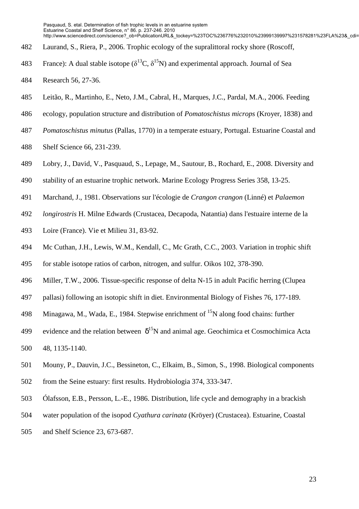- 482 Laurand, S., Riera, P., 2006. Trophic ecology of the supralittoral rocky shore (Roscoff,
- 483 France): A dual stable isotope ( $\delta^{13}C$ ,  $\delta^{15}N$ ) and experimental approach. Journal of Sea
- 484 Research 56, 27-36.
- 485 Leitão, R., Martinho, E., Neto, J.M., Cabral, H., Marques, J.C., Pardal, M.A., 2006. Feeding
- 486 ecology, population structure and distribution of *Pomatoschistus microps* (Kroyer, 1838) and
- 487 *Pomatoschistus minutus* (Pallas, 1770) in a temperate estuary, Portugal. Estuarine Coastal and
- 488 Shelf Science 66, 231-239.
- 489 Lobry, J., David, V., Pasquaud, S., Lepage, M., Sautour, B., Rochard, E., 2008. Diversity and
- 490 stability of an estuarine trophic network. Marine Ecology Progress Series 358, 13-25.
- 491 Marchand, J., 1981. Observations sur l'écologie de *Crangon crangon* (Linné) et *Palaemon*
- 492 *longirostris* H. Milne Edwards (Crustacea, Decapoda, Natantia) dans l'estuaire interne de la
- 493 Loire (France). Vie et Milieu 31, 83-92.
- 494 Mc Cuthan, J.H., Lewis, W.M., Kendall, C., Mc Grath, C.C., 2003. Variation in trophic shift
- 495 for stable isotope ratios of carbon, nitrogen, and sulfur. Oikos 102, 378-390.
- 496 Miller, T.W., 2006. Tissue-specific response of delta N-15 in adult Pacific herring (Clupea
- 497 pallasi) following an isotopic shift in diet. Environmental Biology of Fishes 76, 177-189.
- 498 Minagawa, M., Wada, E., 1984. Stepwise enrichment of  $^{15}N$  along food chains: further
- 499 evidence and the relation between  $\delta^{15}N$  and animal age. Geochimica et Cosmochimica Acta
- 500 48, 1135-1140.
- 501 Mouny, P., Dauvin, J.C., Bessineton, C., Elkaim, B., Simon, S., 1998. Biological components
- 502 from the Seine estuary: first results. Hydrobiologia 374, 333-347.
- 503 Ólafsson, E.B., Persson, L.-E., 1986. Distribution, life cycle and demography in a brackish
- 504 water population of the isopod *Cyathura carinata* (Kröyer) (Crustacea). Estuarine, Coastal
- 505 and Shelf Science 23, 673-687.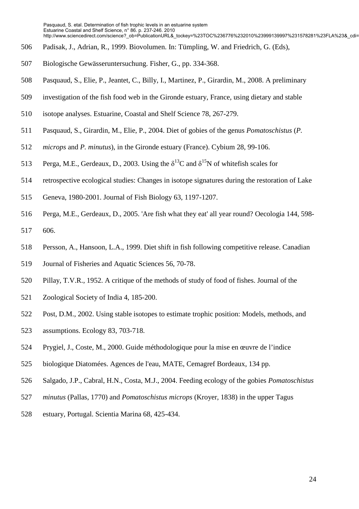- 506 Padisak, J., Adrian, R., 1999. Biovolumen. In: Tümpling, W. and Friedrich, G. (Eds),
- 507 Biologische Gewässeruntersuchung. Fisher, G., pp. 334-368.
- 508 Pasquaud, S., Elie, P., Jeantet, C., Billy, I., Martinez, P., Girardin, M., 2008. A preliminary
- 509 investigation of the fish food web in the Gironde estuary, France, using dietary and stable
- 510 isotope analyses. Estuarine, Coastal and Shelf Science 78, 267-279.
- 511 Pasquaud, S., Girardin, M., Elie, P., 2004. Diet of gobies of the genus *Pomatoschistus* (*P.*
- 512 *microps* and *P. minutus*), in the Gironde estuary (France). Cybium 28, 99-106.
- 513 Perga, M.E., Gerdeaux, D., 2003. Using the  $\delta^{13}C$  and  $\delta^{15}N$  of whitefish scales for
- 514 retrospective ecological studies: Changes in isotope signatures during the restoration of Lake
- 515 Geneva, 1980-2001. Journal of Fish Biology 63, 1197-1207.
- 516 Perga, M.E., Gerdeaux, D., 2005. 'Are fish what they eat' all year round? Oecologia 144, 598- 517 606.
- 518 Persson, A., Hansoon, L.A., 1999. Diet shift in fish following competitive release. Canadian
- 519 Journal of Fisheries and Aquatic Sciences 56, 70-78.
- 520 Pillay, T.V.R., 1952. A critique of the methods of study of food of fishes. Journal of the
- 521 Zoological Society of India 4, 185-200.
- 522 Post, D.M., 2002. Using stable isotopes to estimate trophic position: Models, methods, and
- 523 assumptions. Ecology 83, 703-718.
- 524 Prygiel, J., Coste, M., 2000. Guide méthodologique pour la mise en œuvre de l'indice
- 525 biologique Diatomées. Agences de l'eau, MATE, Cemagref Bordeaux, 134 pp.
- 526 Salgado, J.P., Cabral, H.N., Costa, M.J., 2004. Feeding ecology of the gobies *Pomatoschistus*
- 527 *minutus* (Pallas, 1770) and *Pomatoschistus microps* (Kroyer, 1838) in the upper Tagus
- 528 estuary, Portugal. Scientia Marina 68, 425-434.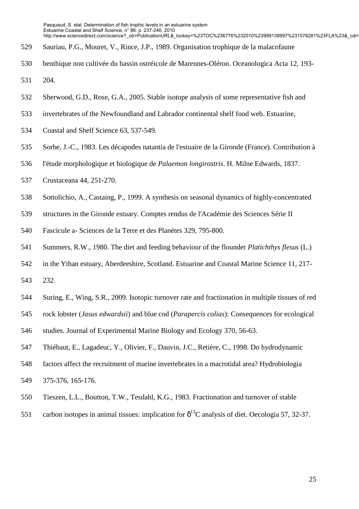- 529 Sauriau, P.G., Mouret, V., Rince, J.P., 1989. Organisation trophique de la malacofaune
- 530 benthique non cultivée du bassin ostréicole de Marennes-Oléron. Oceanologica Acta 12, 193- 531 204.
- 532 Sherwood, G.D., Rose, G.A., 2005. Stable isotope analysis of some representative fish and
- 533 invertebrates of the Newfoundland and Labrador continental shelf food web. Estuarine,
- 534 Coastal and Shelf Science 63, 537-549.
- 535 Sorbe, J.-C., 1983. Les décapodes natantia de l'estuaire de la Gironde (France). Contribution à
- 536 l'étude morphologique et biologique de *Palaemon longirostris*. H. Milne Edwards, 1837.
- 537 Crustaceana 44, 251-270.
- 538 Sottolichio, A., Castaing, P., 1999. A synthesis on seasonal dynamics of highly-concentrated
- 539 structures in the Gironde estuary. Comptes rendus de l'Académie des Sciences Série II
- 540 Fascicule a- Sciences de la Terre et des Planètes 329, 795-800.
- 541 Summers, R.W., 1980. The diet and feeding behaviour of the flounder *Platichthys flesus* (L.)
- 542 in the Ythan estuary, Aberdeeshire, Scotland. Estuarine and Coastal Marine Science 11, 217-
- 543 232.
- 544 Suring, E., Wing, S.R., 2009. Isotopic turnover rate and fractionation in multiple tissues of red
- 545 rock lobster (*Jasus edwardsii*) and blue cod (*Parapercis colias*): Consequences for ecological
- 546 studies. Journal of Experimental Marine Biology and Ecology 370, 56-63.
- 547 Thiébaut, E., Lagadeuc, Y., Olivier, F., Dauvin, J.C., Retière, C., 1998. Do hydrodynamic
- 548 factors affect the recruitment of marine invertebrates in a macrotidal area? Hydrobiologia
- 549 375-376, 165-176.
- 550 Tieszen, L.L., Boutton, T.W., Tesdahl, K.G., 1983. Fractionation and turnover of stable
- 551 carbon isotopes in animal tissues: implication for  $\delta^{13}$ C analysis of diet. Oecologia 57, 32-37.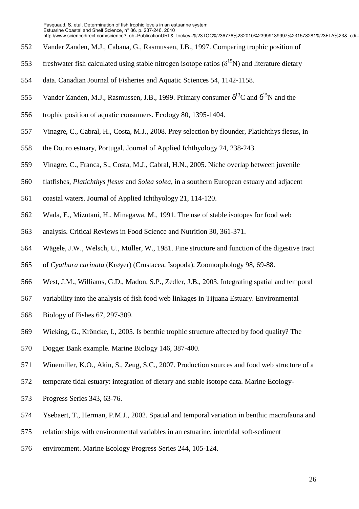- 552 Vander Zanden, M.J., Cabana, G., Rasmussen, J.B., 1997. Comparing trophic position of
- 553 freshwater fish calculated using stable nitrogen isotope ratios  $(\delta^{15}N)$  and literature dietary
- 554 data. Canadian Journal of Fisheries and Aquatic Sciences 54, 1142-1158.
- 555 Vander Zanden, M.J., Rasmussen, J.B., 1999. Primary consumer  $\delta^{13}C$  and  $\delta^{15}N$  and the
- 556 trophic position of aquatic consumers. Ecology 80, 1395-1404.
- 557 Vinagre, C., Cabral, H., Costa, M.J., 2008. Prey selection by flounder, Platichthys flesus, in
- 558 the Douro estuary, Portugal. Journal of Applied Ichthyology 24, 238-243.
- 559 Vinagre, C., Franca, S., Costa, M.J., Cabral, H.N., 2005. Niche overlap between juvenile
- 560 flatfishes, *Platichthys flesus* and *Solea solea*, in a southern European estuary and adjacent
- 561 coastal waters. Journal of Applied Ichthyology 21, 114-120.
- 562 Wada, E., Mizutani, H., Minagawa, M., 1991. The use of stable isotopes for food web
- 563 analysis. Critical Reviews in Food Science and Nutrition 30, 361-371.
- 564 Wägele, J.W., Welsch, U., Müller, W., 1981. Fine structure and function of the digestive tract
- 565 of *Cyathura carinata* (Krøyer) (Crustacea, Isopoda). Zoomorphology 98, 69-88.
- 566 West, J.M., Williams, G.D., Madon, S.P., Zedler, J.B., 2003. Integrating spatial and temporal
- 567 variability into the analysis of fish food web linkages in Tijuana Estuary. Environmental
- 568 Biology of Fishes 67, 297-309.
- 569 Wieking, G., Kröncke, I., 2005. Is benthic trophic structure affected by food quality? The
- 570 Dogger Bank example. Marine Biology 146, 387-400.
- 571 Winemiller, K.O., Akin, S., Zeug, S.C., 2007. Production sources and food web structure of a
- 572 temperate tidal estuary: integration of dietary and stable isotope data. Marine Ecology-
- 573 Progress Series 343, 63-76.
- 574 Ysebaert, T., Herman, P.M.J., 2002. Spatial and temporal variation in benthic macrofauna and
- 575 relationships with environmental variables in an estuarine, intertidal soft-sediment
- 576 environment. Marine Ecology Progress Series 244, 105-124.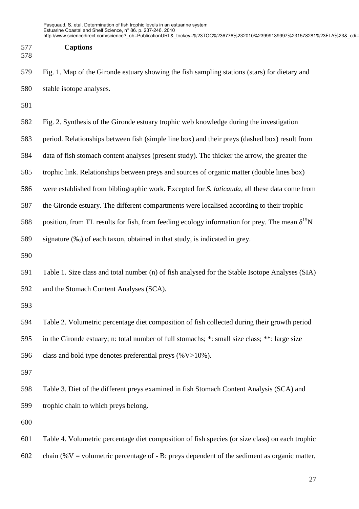| 577 | <b>Captions</b> |
|-----|-----------------|
|-----|-----------------|

- 578
- 579 Fig. 1. Map of the Gironde estuary showing the fish sampling stations (stars) for dietary and 580 stable isotope analyses.
- 581
- 582 Fig. 2. Synthesis of the Gironde estuary trophic web knowledge during the investigation
- 583 period. Relationships between fish (simple line box) and their preys (dashed box) result from
- 584 data of fish stomach content analyses (present study). The thicker the arrow, the greater the
- 585 trophic link. Relationships between preys and sources of organic matter (double lines box)
- 586 were established from bibliographic work. Excepted for *S. laticauda*, all these data come from
- 587 the Gironde estuary. The different compartments were localised according to their trophic
- 588 position, from TL results for fish, from feeding ecology information for prey. The mean  $\delta^{15}N$
- 589 signature (‰) of each taxon, obtained in that study, is indicated in grey.
- 590
- 591 Table 1. Size class and total number (n) of fish analysed for the Stable Isotope Analyses (SIA) 592 and the Stomach Content Analyses (SCA).
- 593
- 594 Table 2. Volumetric percentage diet composition of fish collected during their growth period
- 595 in the Gironde estuary; n: total number of full stomachs; \*: small size class; \*\*: large size
- 596 class and bold type denotes preferential preys  $(\%V>10\%)$ .
- 597
- 598 Table 3. Diet of the different preys examined in fish Stomach Content Analysis (SCA) and 599 trophic chain to which preys belong.
- 600
- 601 Table 4. Volumetric percentage diet composition of fish species (or size class) on each trophic 602 chain (% $V =$  volumetric percentage of - B: preys dependent of the sediment as organic matter,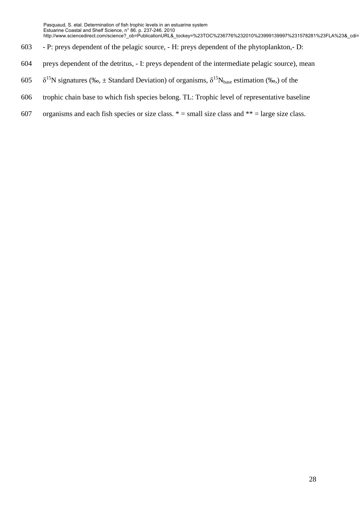- 603 P: preys dependent of the pelagic source, H: preys dependent of the phytoplankton,- D:
- 604 preys dependent of the detritus, I: preys dependent of the intermediate pelagic source), mean
- 605  $\delta^{15}$ N signatures (‰, ± Standard Deviation) of organisms,  $\delta^{15}N_{base}$  estimation (‰,) of the
- 606 trophic chain base to which fish species belong. TL: Trophic level of representative baseline
- 607 organisms and each fish species or size class.  $* =$  small size class and  $** =$  large size class.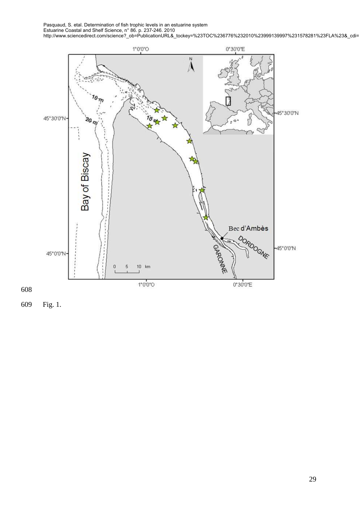



609 Fig. 1.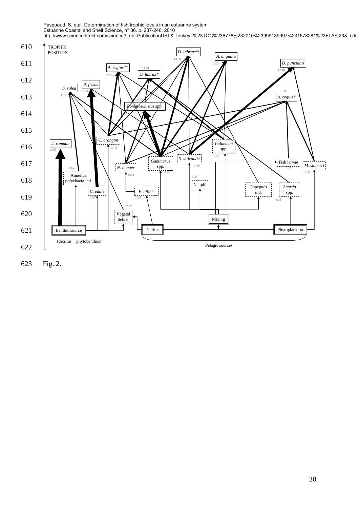

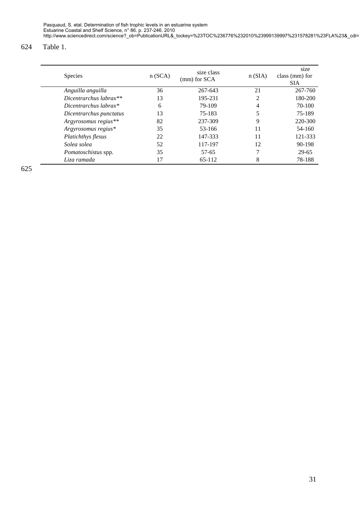### 624 Table 1.

| <b>Species</b>          | n(SCA) | size class<br>(mm) for SCA | n(SIA) | size<br>class (mm) for<br><b>SIA</b> |
|-------------------------|--------|----------------------------|--------|--------------------------------------|
| Anguilla anguilla       | 36     | 267-643                    | 21     | 267-760                              |
| Dicentrarchus labrax**  | 13     | 195-231                    | 2      | 180-200                              |
| Dicentrarchus labrax*   | 6      | 79-109                     | 4      | 70-100                               |
| Dicentrarchus punctatus | 13     | 75-183                     | 5      | 75-189                               |
| Argyrosomus regius**    | 82     | 237-309                    | 9      | 220-300                              |
| Argyrosomus regius*     | 35     | 53-166                     | 11     | 54-160                               |
| Platichthys flesus      | 22     | 147-333                    | 11     | 121-333                              |
| Solea solea             | 52     | 117-197                    | 12     | 90-198                               |
| Pomatoschistus spp.     | 35     | 57-65                      | 7      | 29-65                                |
| Liza ramada             | 17     | 65-112                     | 8      | 78-188                               |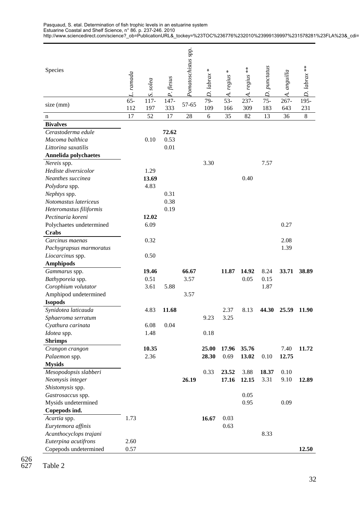| Species                               | L. ramada     | solea                            | P. flesus   | Pomatoschistus spp. | ⋇<br>D. labrax | ⋇<br>A. regius | $* *$<br>A. regius | D. punctatus  | A. anguilla    | $D.$ labrax ** |
|---------------------------------------|---------------|----------------------------------|-------------|---------------------|----------------|----------------|--------------------|---------------|----------------|----------------|
| size (mm)                             | $65 -$<br>112 | $\overline{S}$<br>$117 -$<br>197 | 147-<br>333 | 57-65               | 79-<br>109     | $53-$<br>166   | 237-<br>309        | $75 -$<br>183 | $267 -$<br>643 | 195-<br>231    |
| n                                     | 17            | 52                               | 17          | 28                  | 6              | 35             | 82                 | 13            | 36             | $\,8\,$        |
| <b>Bivalves</b>                       |               |                                  |             |                     |                |                |                    |               |                |                |
| Cerastoderma edule                    |               |                                  | 72.62       |                     |                |                |                    |               |                |                |
| Macoma balthica                       |               | 0.10                             | 0.53        |                     |                |                |                    |               |                |                |
| Littorina saxatilis                   |               |                                  | 0.01        |                     |                |                |                    |               |                |                |
| Annelida polychaetes                  |               |                                  |             |                     |                |                |                    |               |                |                |
| Nereis spp.                           |               |                                  |             |                     | 3.30           |                |                    | 7.57          |                |                |
| Hediste diversicolor                  |               | 1.29                             |             |                     |                |                |                    |               |                |                |
| Neanthes succinea                     |               | 13.69                            |             |                     |                |                | 0.40               |               |                |                |
| Polydora spp.                         |               | 4.83                             |             |                     |                |                |                    |               |                |                |
| Nephtys spp.                          |               |                                  | 0.31        |                     |                |                |                    |               |                |                |
| Notomastus latericeus                 |               |                                  | 0.38        |                     |                |                |                    |               |                |                |
| Heteromastus filiformis               |               |                                  | 0.19        |                     |                |                |                    |               |                |                |
| Pectinaria koreni                     |               | 12.02                            |             |                     |                |                |                    |               |                |                |
| Polychaetes undetermined              |               | 6.09                             |             |                     |                |                |                    |               | 0.27           |                |
| <b>Crabs</b>                          |               |                                  |             |                     |                |                |                    |               |                |                |
| Carcinus maenas                       |               | 0.32                             |             |                     |                |                |                    |               | 2.08           |                |
| Pachygrapsus marmoratus               |               |                                  |             |                     |                |                |                    |               | 1.39           |                |
| Liocarcinus spp.                      |               | 0.50                             |             |                     |                |                |                    |               |                |                |
| <b>Amphipods</b>                      |               |                                  |             |                     |                |                |                    |               |                |                |
| Gammarus spp.                         |               | 19.46                            |             | 66.67               |                | 11.87          | 14.92              | 8.24          | 33.71          | 38.89          |
| Bathyporeia spp.                      |               | 0.51                             |             | 3.57                |                |                | 0.05               | 0.15          |                |                |
| Corophium volutator                   |               | 3.61                             | 5.88        |                     |                |                |                    | 1.87          |                |                |
| Amphipod undetermined                 |               |                                  |             | 3.57                |                |                |                    |               |                |                |
| <b>Isopods</b><br>Synidotea laticauda |               | 4.83                             | 11.68       |                     |                | 2.37           | 8.13               | 44.30         | 25.59          | 11.90          |
| Sphaeroma serratum                    |               |                                  |             |                     | 9.23           | 3.25           |                    |               |                |                |
| Cyathura carinata                     |               | 6.08                             | 0.04        |                     |                |                |                    |               |                |                |
| Idotea spp.                           |               | 1.48                             |             |                     | 0.18           |                |                    |               |                |                |
| <b>Shrimps</b>                        |               |                                  |             |                     |                |                |                    |               |                |                |
| Crangon crangon                       |               | 10.35                            |             |                     | 25.00          | 17.96          | 35.76              |               | 7.40           | 11.72          |
| Palaemon spp.                         |               | 2.36                             |             |                     | 28.30          | 0.69           | 13.02              | 0.10          | 12.75          |                |
| <b>Mysids</b>                         |               |                                  |             |                     |                |                |                    |               |                |                |
| Mesopodopsis slabberi                 |               |                                  |             |                     | 0.33           | 23.52          | 3.88               | 18.37         | 0.10           |                |
| Neomysis integer                      |               |                                  |             | 26.19               |                | 17.16          | 12.15              | 3.31          | 9.10           | 12.89          |
| Shistomysis spp.                      |               |                                  |             |                     |                |                |                    |               |                |                |
| Gastrosaccus spp.                     |               |                                  |             |                     |                |                | 0.05               |               |                |                |
| Mysids undetermined                   |               |                                  |             |                     |                |                | 0.95               |               | 0.09           |                |
| Copepods ind.                         |               |                                  |             |                     |                |                |                    |               |                |                |
| Acartia spp.                          | 1.73          |                                  |             |                     | 16.67          | 0.03           |                    |               |                |                |
| Eurytemora affinis                    |               |                                  |             |                     |                | 0.63           |                    |               |                |                |
| Acanthocyclops trajani                |               |                                  |             |                     |                |                |                    | 8.33          |                |                |
| Euterpina acutifrons                  | 2.60          |                                  |             |                     |                |                |                    |               |                |                |
| Copepods undetermined                 | 0.57          |                                  |             |                     |                |                |                    |               |                | 12.50          |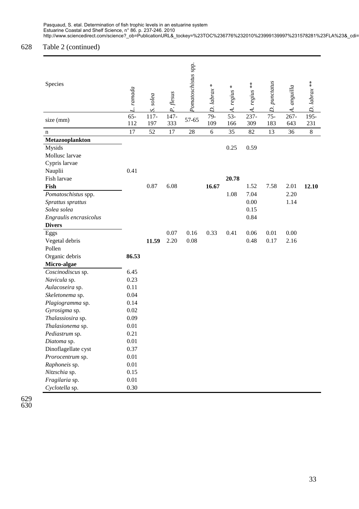## 628 Table 2 (continued)

| Species                                                                                                    | L. ramada     | pajos<br>S     | P. flesus   | Pomatoschistus spp. | $\ast$<br>D. labrax | $regius$ $\ast$<br>$\overline{A}$ | $regius$ **<br>$\overline{\mathcal{A}}$ | D. punctatus  | anguilla<br>$\overline{\mathcal{A}}$ | $D.$ labrax ** |
|------------------------------------------------------------------------------------------------------------|---------------|----------------|-------------|---------------------|---------------------|-----------------------------------|-----------------------------------------|---------------|--------------------------------------|----------------|
| size (mm)                                                                                                  | $65 -$<br>112 | $117 -$<br>197 | 147-<br>333 | 57-65               | 79-<br>109          | $53-$<br>166                      | 237-<br>309                             | $75 -$<br>183 | $267 -$<br>643                       | 195-<br>231    |
| n                                                                                                          | 17            | 52             | 17          | 28                  | 6                   | 35                                | 82                                      | 13            | 36                                   | $\,8\,$        |
| Metazooplankton                                                                                            |               |                |             |                     |                     |                                   |                                         |               |                                      |                |
| Mysids<br>Mollusc larvae<br>Cypris larvae<br>Nauplii                                                       | 0.41          |                |             |                     |                     | 0.25                              | 0.59                                    |               |                                      |                |
| Fish larvae                                                                                                |               |                |             |                     |                     | 20.78                             |                                         |               |                                      |                |
| Fish<br>Pomatoschistus spp.<br>Sprattus sprattus<br>Solea solea<br>Engraulis encrasicolus<br><b>Divers</b> |               | 0.87           | 6.08        |                     | 16.67               | 1.08                              | 1.52<br>7.04<br>0.00<br>0.15<br>0.84    | 7.58          | 2.01<br>2.20<br>1.14                 | 12.10          |
| Eggs                                                                                                       |               |                | 0.07        | 0.16                | 0.33                | 0.41                              | 0.06                                    | 0.01          | 0.00                                 |                |
| Vegetal debris                                                                                             |               | 11.59          | 2.20        | 0.08                |                     |                                   | 0.48                                    | 0.17          | 2.16                                 |                |
| Pollen                                                                                                     |               |                |             |                     |                     |                                   |                                         |               |                                      |                |
| Organic debris                                                                                             | 86.53         |                |             |                     |                     |                                   |                                         |               |                                      |                |
| Micro-algae                                                                                                |               |                |             |                     |                     |                                   |                                         |               |                                      |                |
| Coscinodiscus sp.                                                                                          | 6.45          |                |             |                     |                     |                                   |                                         |               |                                      |                |
| Navicula sp.                                                                                               | 0.23          |                |             |                     |                     |                                   |                                         |               |                                      |                |
| Aulacoseira sp.                                                                                            | 0.11          |                |             |                     |                     |                                   |                                         |               |                                      |                |
| Skeletonema sp.                                                                                            | 0.04          |                |             |                     |                     |                                   |                                         |               |                                      |                |
| Plagiogramma sp.                                                                                           | 0.14          |                |             |                     |                     |                                   |                                         |               |                                      |                |
| Gyrosigma sp.                                                                                              | 0.02          |                |             |                     |                     |                                   |                                         |               |                                      |                |
| Thalassiosira sp.                                                                                          | 0.09          |                |             |                     |                     |                                   |                                         |               |                                      |                |
| <i>Thalasionema</i> sp.                                                                                    | 0.01          |                |             |                     |                     |                                   |                                         |               |                                      |                |
| Pediastrum sp.                                                                                             | 0.21          |                |             |                     |                     |                                   |                                         |               |                                      |                |
| Diatoma sp.                                                                                                | 0.01          |                |             |                     |                     |                                   |                                         |               |                                      |                |
| Dinoflagellate cyst                                                                                        | 0.37          |                |             |                     |                     |                                   |                                         |               |                                      |                |
| Prorocentrum sp.                                                                                           | $0.01\,$      |                |             |                     |                     |                                   |                                         |               |                                      |                |
| Raphoneis sp.                                                                                              | $0.01\,$      |                |             |                     |                     |                                   |                                         |               |                                      |                |
| Nitzschia sp.                                                                                              | 0.15          |                |             |                     |                     |                                   |                                         |               |                                      |                |
| Fragilaria sp.                                                                                             | $0.01\,$      |                |             |                     |                     |                                   |                                         |               |                                      |                |
| Cyclotella sp.                                                                                             | 0.30          |                |             |                     |                     |                                   |                                         |               |                                      |                |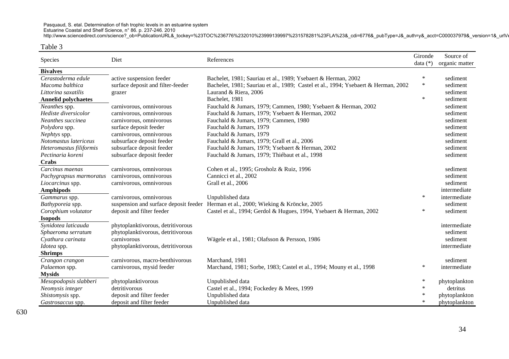Estuarine Coastal and Shelf Science, n° 86. p. 237-246. 2010

http://www.sciencedirect.com/science?\_ob=PublicationURL&\_tockey=%23TOC%236776%232010%23999139997%231578281%23FLA%23&\_cdi=6776&\_pubType=J&\_auth=y&\_acct=C000037979&\_version=1&\_urlVe

#### Table 3

| Species                    | Diet                              | References                                                                         | Gironde<br>data (*) | Source of<br>organic matter |
|----------------------------|-----------------------------------|------------------------------------------------------------------------------------|---------------------|-----------------------------|
| <b>Bivalves</b>            |                                   |                                                                                    |                     |                             |
| Cerastoderma edule         | active suspension feeder          | Bachelet, 1981; Sauriau et al., 1989; Ysebaert & Herman, 2002                      | $\ast$              | sediment                    |
| Macoma balthica            | surface deposit and filter-feeder | Bachelet, 1981; Sauriau et al., 1989; Castel et al., 1994; Ysebaert & Herman, 2002 | $\ast$              | sediment                    |
| Littorina saxatilis        | grazer                            | Laurand & Riera, 2006                                                              |                     | sediment                    |
| <b>Annelid polychaetes</b> |                                   | Bachelet, 1981                                                                     | $\ast$              | sediment                    |
| Neanthes spp.              | carnivorous, omnivorous           | Fauchald & Jumars, 1979; Cammen, 1980; Ysebaert & Herman, 2002                     |                     | sediment                    |
| Hediste diversicolor       | carnivorous, omnivorous           | Fauchald & Jumars, 1979; Ysebaert & Herman, 2002                                   |                     | sediment                    |
| Neanthes succinea          | carnivorous, omnivorous           | Fauchald & Jumars, 1979; Cammen, 1980                                              |                     | sediment                    |
| Polydora spp.              | surface deposit feeder            | Fauchald & Jumars, 1979                                                            |                     | sediment                    |
| Nephtys spp.               | carnivorous, omnivorous           | Fauchald & Jumars, 1979                                                            |                     | sediment                    |
| Notomastus latericeus      | subsurface deposit feeder         | Fauchald & Jumars, 1979; Grall et al., 2006                                        |                     | sediment                    |
| Heteromastus filiformis    | subsurface deposit feeder         | Fauchald & Jumars, 1979; Ysebaert & Herman, 2002                                   |                     | sediment                    |
| Pectinaria koreni          | subsurface deposit feeder         | Fauchald & Jumars, 1979; Thiébaut et al., 1998                                     |                     | sediment                    |
| Crabs                      |                                   |                                                                                    |                     |                             |
| Carcinus maenas            | carnivorous, omnivorous           | Cohen et al., 1995; Grosholz & Ruiz, 1996                                          |                     | sediment                    |
| Pachygrapsus marmoratus    | carnivorous, omnivorous           | Cannicci et al., 2002                                                              |                     | sediment                    |
| Liocarcinus spp.           | carnivorous, omnivorous           | Grall et al., 2006                                                                 |                     | sediment                    |
| <b>Amphipods</b>           |                                   |                                                                                    |                     | intermediate                |
| Gammarus spp.              | carnivorous, omnivorous           | Unpublished data                                                                   | $\ast$              | intermediate                |
| <i>Bathyporeia</i> spp.    |                                   | suspension and surface deposit feeder Herman et al., 2000; Wieking & Kröncke, 2005 |                     | sediment                    |
| Corophium volutator        | deposit and filter feeder         | Castel et al., 1994; Gerdol & Hugues, 1994, Ysebaert & Herman, 2002                | *                   | sediment                    |
| <b>Isopods</b>             |                                   |                                                                                    |                     |                             |
| Synidotea laticauda        | phytoplanktivorous, detritivorous |                                                                                    |                     | intermediate                |
| Sphaeroma serratum         | phytoplanktivorous, detritivorous |                                                                                    |                     | sediment                    |
| Cyathura carinata          | carnivorous                       | Wägele et al., 1981; Olafsson & Persson, 1986                                      |                     | sediment                    |
| Idotea spp.                | phytoplanktivorous, detritivorous |                                                                                    |                     | intermediate                |
| <b>Shrimps</b>             |                                   |                                                                                    |                     |                             |
| Crangon crangon            | carnivorous, macro-benthivorous   | Marchand, 1981                                                                     |                     | sediment                    |
| Palaemon spp.              | carnivorous, mysid feeder         | Marchand, 1981; Sorbe, 1983; Castel et al., 1994; Mouny et al., 1998               | $\ast$              | intermediate                |
| <b>Mysids</b>              |                                   |                                                                                    |                     |                             |
| Mesopodopsis slabberi      | phytoplanktivorous                | Unpublished data                                                                   | $\ast$              | phytoplankton               |
| Neomysis integer           | detritivorous                     | Castel et al., 1994; Fockedey & Mees, 1999                                         | $\ast$              | detritus                    |
| Shistomysis spp.           | deposit and filter feeder         | Unpublished data                                                                   | $\ast$              | phytoplankton               |
| Gastrosaccus spp.          | deposit and filter feeder         | Unpublished data                                                                   | $\ast$              | phytoplankton               |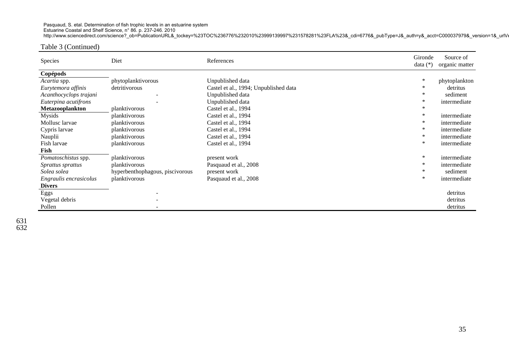Estuarine Coastal and Shelf Science, n° 86. p. 237-246. 2010

http://www.sciencedirect.com/science?\_ob=PublicationURL&\_tockey=%23TOC%236776%232010%23999139997%231578281%23FLA%23&\_cdi=6776&\_pubType=J&\_auth=y&\_acct=C000037979&\_version=1&\_urlVe

### Table 3 (Continued)

| Species                  | Diet                            | References                            | Gironde<br>data $(*)$ | Source of<br>organic matter |
|--------------------------|---------------------------------|---------------------------------------|-----------------------|-----------------------------|
|                          |                                 |                                       |                       |                             |
| Copépods                 |                                 |                                       |                       |                             |
| <i>Acartia</i> spp.      | phytoplanktivorous              | Unpublished data                      | ∗                     | phytoplankton               |
| Eurytemora affinis       | detritivorous                   | Castel et al., 1994; Unpublished data | ∗                     | detritus                    |
| Acanthocyclops trajani   |                                 | Unpublished data                      | ∗                     | sediment                    |
| Euterpina acutifrons     |                                 | Unpublished data                      | ∗                     | intermediate                |
| Metazooplankton          | planktivorous                   | Castel et al., 1994                   | ∗                     |                             |
| Mysids                   | planktivorous                   | Castel et al., 1994                   | $\ast$                | intermediate                |
| Mollusc larvae           | planktivorous                   | Castel et al., 1994                   | ∗                     | intermediate                |
| Cypris larvae            | planktivorous                   | Castel et al., 1994                   | ∗                     | intermediate                |
| Nauplii                  | planktivorous                   | Castel et al., 1994                   | ∗                     | intermediate                |
| Fish larvae              | planktivorous                   | Castel et al., 1994                   | $\ast$                | intermediate                |
| Fish                     |                                 |                                       |                       |                             |
| Pomatoschistus spp.      | planktivorous                   | present work                          | $\ast$                | intermediate                |
| <i>Sprattus sprattus</i> | planktivorous                   | Pasquaud et al., 2008                 | ∗                     | intermediate                |
| Solea solea              | hyperbenthophagous, piscivorous | present work                          |                       | sediment                    |
| Engraulis encrasicolus   | planktivorous                   | Pasquaud et al., 2008                 | ∗                     | intermediate                |
| <b>Divers</b>            |                                 |                                       |                       |                             |
| Eggs                     |                                 |                                       |                       | detritus                    |
| Vegetal debris           |                                 |                                       |                       | detritus                    |
| Pollen                   |                                 |                                       |                       | detritus                    |